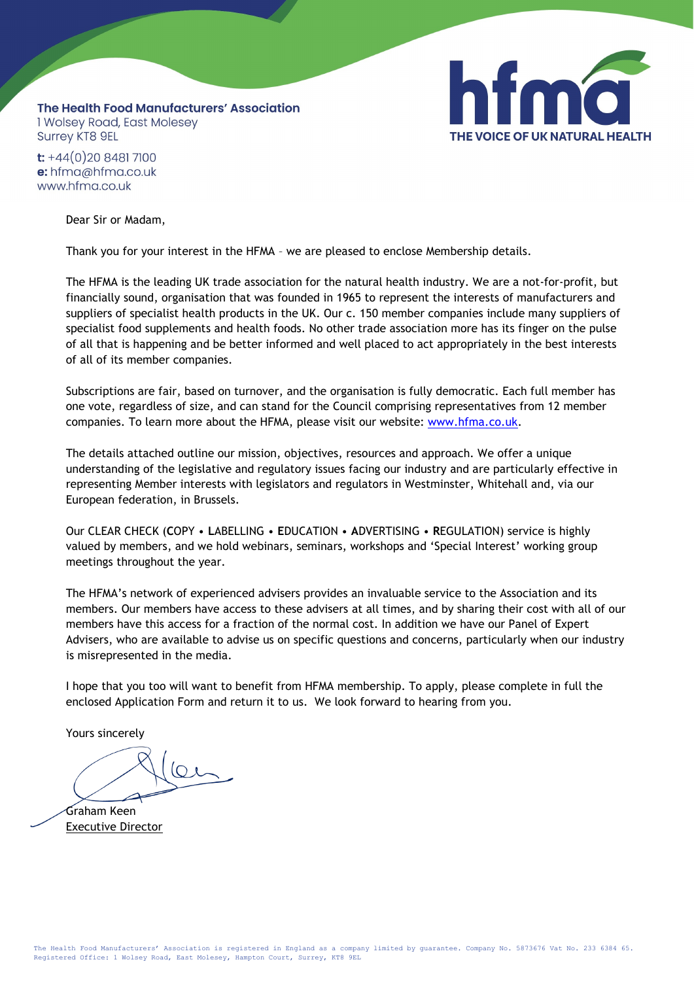

The Health Food Manufacturers' Association 1 Wolsey Road, East Molesey **Surrey KT8 9EL** 

 $t$ : +44(0)20 8481 7100 e: hfma@hfma.co.uk www.hfma.co.uk

Dear Sir or Madam,

Thank you for your interest in the HFMA – we are pleased to enclose Membership details.

The HFMA is the leading UK trade association for the natural health industry. We are a not-for-profit, but financially sound, organisation that was founded in 1965 to represent the interests of manufacturers and suppliers of specialist health products in the UK. Our c. 150 member companies include many suppliers of specialist food supplements and health foods. No other trade association more has its finger on the pulse of all that is happening and be better informed and well placed to act appropriately in the best interests of all of its member companies.

Subscriptions are fair, based on turnover, and the organisation is fully democratic. Each full member has one vote, regardless of size, and can stand for the Council comprising representatives from 12 member companies. To learn more about the HFMA, please visit our website: [www.hfma.co.uk.](http://www.hfma.co.uk/)

The details attached outline our mission, objectives, resources and approach. We offer a unique understanding of the legislative and regulatory issues facing our industry and are particularly effective in representing Member interests with legislators and regulators in Westminster, Whitehall and, via our European federation, in Brussels.

Our CLEAR CHECK (**C**OPY • **L**ABELLING • **E**DUCATION • **A**DVERTISING • **R**EGULATION) service is highly valued by members, and we hold webinars, seminars, workshops and 'Special Interest' working group meetings throughout the year.

The HFMA's network of experienced advisers provides an invaluable service to the Association and its members. Our members have access to these advisers at all times, and by sharing their cost with all of our members have this access for a fraction of the normal cost. In addition we have our Panel of Expert Advisers, who are available to advise us on specific questions and concerns, particularly when our industry is misrepresented in the media.

I hope that you too will want to benefit from HFMA membership. To apply, please complete in full the enclosed Application Form and return it to us. We look forward to hearing from you.

Yours sincerely

Graham Keen Executive Director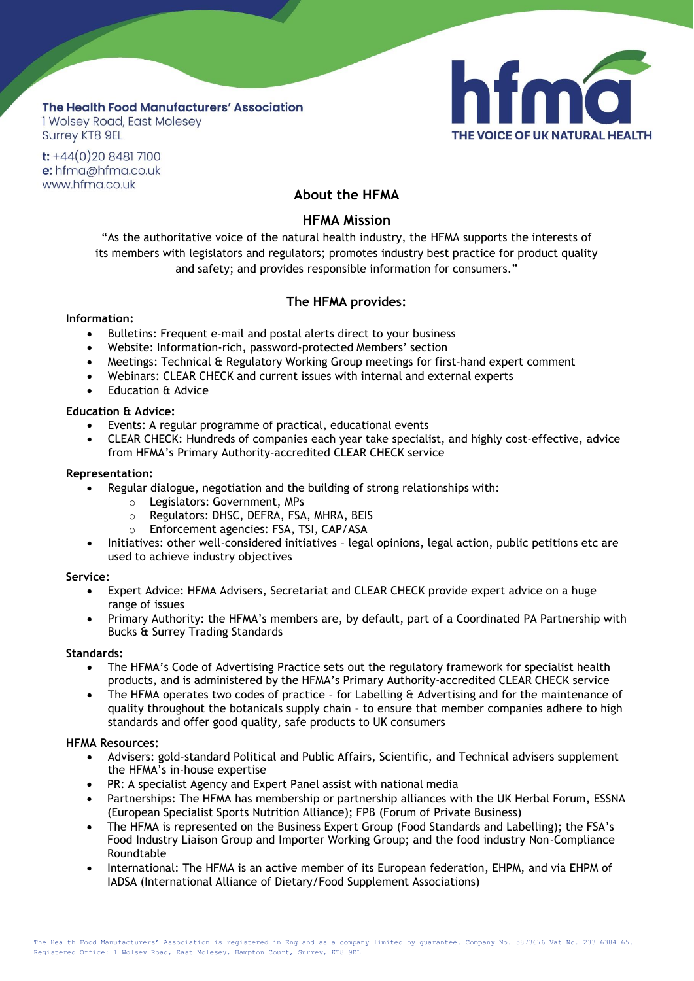## The Health Food Manufacturers' Association I Wolsey Road, East Molesey **Surrey KT8 9EL**



 $t$ : +44(0)20 8481 7100 e: hfma@hfma.co.uk www.hfma.co.uk

# **About the HFMA**

## **HFMA Mission**

"As the authoritative voice of the natural health industry, the HFMA supports the interests of its members with legislators and regulators; promotes industry best practice for product quality and safety; and provides responsible information for consumers."

## **The HFMA provides:**

## **Information:**

- Bulletins: Frequent e-mail and postal alerts direct to your business
- Website: Information-rich, password-protected Members' section
- Meetings: Technical & Regulatory Working Group meetings for first-hand expert comment
- Webinars: CLEAR CHECK and current issues with internal and external experts
- Education & Advice

## **Education & Advice:**

- Events: A regular programme of practical, educational events
- CLEAR CHECK: Hundreds of companies each year take specialist, and highly cost-effective, advice from HFMA's Primary Authority-accredited CLEAR CHECK service

## **Representation:**

- Regular dialogue, negotiation and the building of strong relationships with:
	- o Legislators: Government, MPs
		- o Regulators: DHSC, DEFRA, FSA, MHRA, BEIS
		- o Enforcement agencies: FSA, TSI, CAP/ASA
- Initiatives: other well-considered initiatives legal opinions, legal action, public petitions etc are used to achieve industry objectives

#### **Service:**

- Expert Advice: HFMA Advisers, Secretariat and CLEAR CHECK provide expert advice on a huge range of issues
- Primary Authority: the HFMA's members are, by default, part of a Coordinated PA Partnership with Bucks & Surrey Trading Standards

## **Standards:**

- The HFMA's Code of Advertising Practice sets out the regulatory framework for specialist health products, and is administered by the HFMA's Primary Authority-accredited CLEAR CHECK service
- The HFMA operates two codes of practice for Labelling & Advertising and for the maintenance of quality throughout the botanicals supply chain – to ensure that member companies adhere to high standards and offer good quality, safe products to UK consumers

## **HFMA Resources:**

- Advisers: gold-standard Political and Public Affairs, Scientific, and Technical advisers supplement the HFMA's in-house expertise
- PR: A specialist Agency and Expert Panel assist with national media
- Partnerships: The HFMA has membership or partnership alliances with the UK Herbal Forum, ESSNA (European Specialist Sports Nutrition Alliance); FPB (Forum of Private Business)
- The HFMA is represented on the Business Expert Group (Food Standards and Labelling); the FSA's Food Industry Liaison Group and Importer Working Group; and the food industry Non-Compliance Roundtable
- International: The HFMA is an active member of its European federation, EHPM, and via EHPM of IADSA (International Alliance of Dietary/Food Supplement Associations)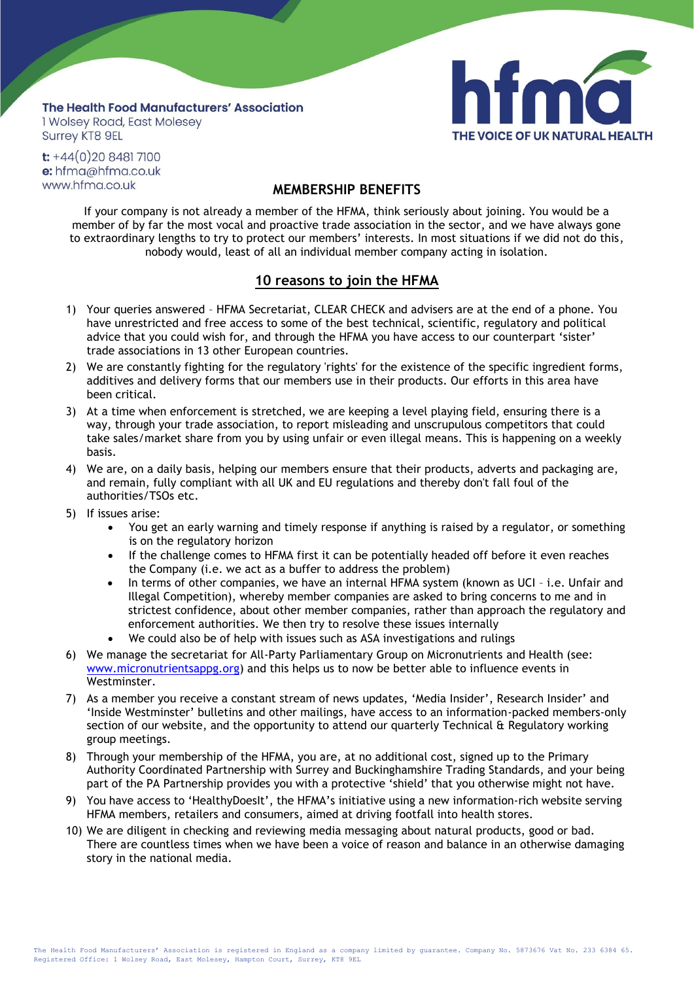## The Health Food Manufacturers' Association 1 Wolsey Road, East Molesey Surrey KT8 9EL



 $t$ : +44(0)20 8481 7100 e: hfma@hfma.co.uk www.hfma.co.uk

# **MEMBERSHIP BENEFITS**

If your company is not already a member of the HFMA, think seriously about joining. You would be a member of by far the most vocal and proactive trade association in the sector, and we have always gone to extraordinary lengths to try to protect our members' interests. In most situations if we did not do this, nobody would, least of all an individual member company acting in isolation.

# **10 reasons to join the HFMA**

- 1) Your queries answered HFMA Secretariat, CLEAR CHECK and advisers are at the end of a phone. You have unrestricted and free access to some of the best technical, scientific, regulatory and political advice that you could wish for, and through the HFMA you have access to our counterpart 'sister' trade associations in 13 other European countries.
- 2) We are constantly fighting for the regulatory 'rights' for the existence of the specific ingredient forms, additives and delivery forms that our members use in their products. Our efforts in this area have been critical.
- 3) At a time when enforcement is stretched, we are keeping a level playing field, ensuring there is a way, through your trade association, to report misleading and unscrupulous competitors that could take sales/market share from you by using unfair or even illegal means. This is happening on a weekly basis.
- 4) We are, on a daily basis, helping our members ensure that their products, adverts and packaging are, and remain, fully compliant with all UK and EU regulations and thereby don't fall foul of the authorities/TSOs etc.
- 5) If issues arise:
	- You get an early warning and timely response if anything is raised by a regulator, or something is on the regulatory horizon
	- If the challenge comes to HFMA first it can be potentially headed off before it even reaches the Company (i.e. we act as a buffer to address the problem)
	- In terms of other companies, we have an internal HFMA system (known as UCI i.e. Unfair and Illegal Competition), whereby member companies are asked to bring concerns to me and in strictest confidence, about other member companies, rather than approach the regulatory and enforcement authorities. We then try to resolve these issues internally
	- We could also be of help with issues such as ASA investigations and rulings
- 6) We manage the secretariat for All-Party Parliamentary Group on Micronutrients and Health (see: [www.micronutrientsappg.org\)](http://www.micronutrientsappg.org/) and this helps us to now be better able to influence events in Westminster.
- 7) As a member you receive a constant stream of news updates, 'Media Insider', Research Insider' and 'Inside Westminster' bulletins and other mailings, have access to an information-packed members-only section of our website, and the opportunity to attend our quarterly Technical & Regulatory working group meetings.
- 8) Through your membership of the HFMA, you are, at no additional cost, signed up to the Primary Authority Coordinated Partnership with Surrey and Buckinghamshire Trading Standards, and your being part of the PA Partnership provides you with a protective 'shield' that you otherwise might not have.
- 9) You have access to 'HealthyDoesIt', the HFMA's initiative using a new information-rich website serving HFMA members, retailers and consumers, aimed at driving footfall into health stores.
- 10) We are diligent in checking and reviewing media messaging about natural products, good or bad. There are countless times when we have been a voice of reason and balance in an otherwise damaging story in the national media.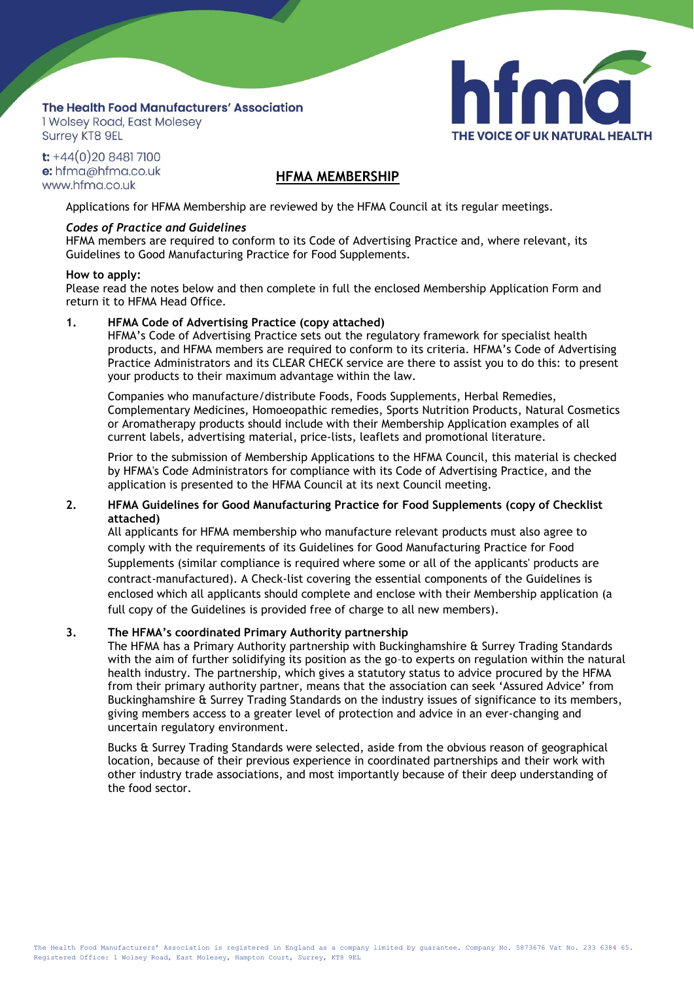# The Health Food Manufacturers' Association

I Wolsey Road, East Molesey **Surrey KT8 9EL** 

 $t$ : +44(0)20 8481 7100 e: hfma@hfma.co.uk www.hfma.co.uk

## **HFMA MEMBERSHIP**

THE VOICE OF UK NATURAL HEALTH

Applications for HFMA Membership are reviewed by the HFMA Council at its regular meetings.

## *Codes of Practice and Guidelines*

HFMA members are required to conform to its Code of Advertising Practice and, where relevant, its Guidelines to Good Manufacturing Practice for Food Supplements.

#### **How to apply:**

Please read the notes below and then complete in full the enclosed Membership Application Form and return it to HFMA Head Office.

## **1. HFMA Code of Advertising Practice (copy attached)**

HFMA's Code of Advertising Practice sets out the regulatory framework for specialist health products, and HFMA members are required to conform to its criteria. HFMA's Code of Advertising Practice Administrators and its CLEAR CHECK service are there to assist you to do this: to present your products to their maximum advantage within the law.

Companies who manufacture/distribute Foods, Foods Supplements, Herbal Remedies, Complementary Medicines, Homoeopathic remedies, Sports Nutrition Products, Natural Cosmetics or Aromatherapy products should include with their Membership Application examples of all current labels, advertising material, price-lists, leaflets and promotional literature.

Prior to the submission of Membership Applications to the HFMA Council, this material is checked by HFMA's Code Administrators for compliance with its Code of Advertising Practice, and the application is presented to the HFMA Council at its next Council meeting.

## **2. HFMA Guidelines for Good Manufacturing Practice for Food Supplements (copy of Checklist attached)**

All applicants for HFMA membership who manufacture relevant products must also agree to comply with the requirements of its Guidelines for Good Manufacturing Practice for Food Supplements (similar compliance is required where some or all of the applicants' products are contract-manufactured). A Check-list covering the essential components of the Guidelines is enclosed which all applicants should complete and enclose with their Membership application (a full copy of the Guidelines is provided free of charge to all new members).

## **3. The HFMA's coordinated Primary Authority partnership**

The HFMA has a Primary Authority partnership with Buckinghamshire & Surrey Trading Standards with the aim of further solidifying its position as the go–to experts on regulation within the natural health industry. The partnership, which gives a statutory status to advice procured by the HFMA from their primary authority partner, means that the association can seek 'Assured Advice' from Buckinghamshire & Surrey Trading Standards on the industry issues of significance to its members, giving members access to a greater level of protection and advice in an ever-changing and uncertain regulatory environment.

Bucks & Surrey Trading Standards were selected, aside from the obvious reason of geographical location, because of their previous experience in coordinated partnerships and their work with other industry trade associations, and most importantly because of their deep understanding of the food sector.

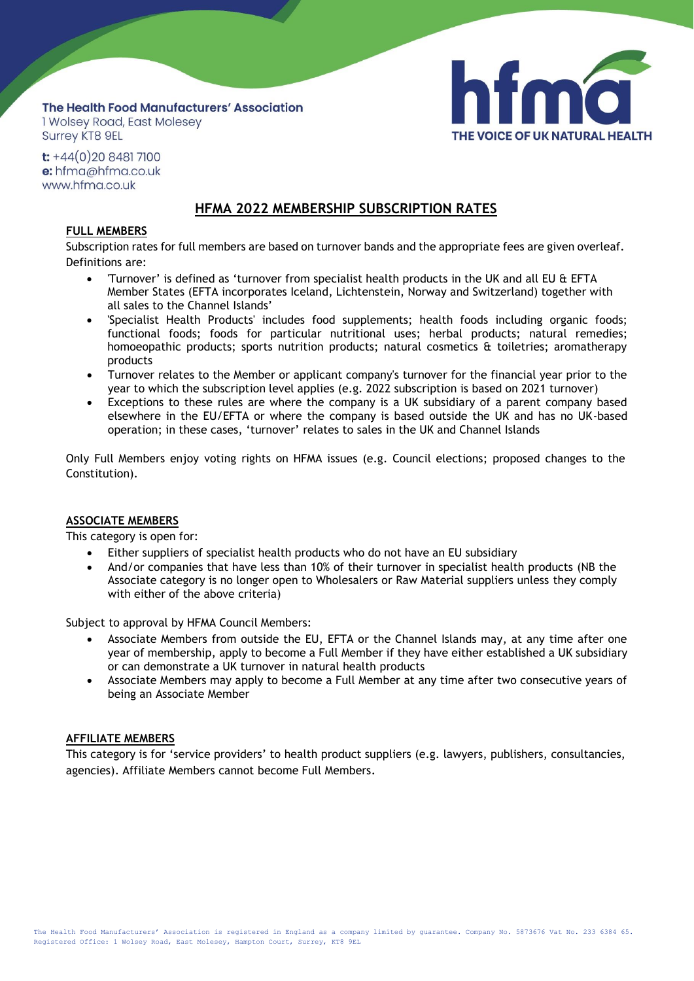## The Health Food Manufacturers' Association I Wolsey Road, East Molesey **Surrey KT8 9EL**



 $t$ : +44(0)20 8481 7100 e: hfma@hfma.co.uk www.hfma.co.uk

# **HFMA 2022 MEMBERSHIP SUBSCRIPTION RATES**

## **FULL MEMBERS**

Subscription rates for full members are based on turnover bands and the appropriate fees are given overleaf. Definitions are:

- 'Turnover' is defined as 'turnover from specialist health products in the UK and all EU & EFTA Member States (EFTA incorporates Iceland, Lichtenstein, Norway and Switzerland) together with all sales to the Channel Islands'
- 'Specialist Health Products' includes food supplements; health foods including organic foods; functional foods; foods for particular nutritional uses; herbal products; natural remedies; homoeopathic products; sports nutrition products; natural cosmetics & toiletries; aromatherapy products
- Turnover relates to the Member or applicant company's turnover for the financial year prior to the year to which the subscription level applies (e.g. 2022 subscription is based on 2021 turnover)
- Exceptions to these rules are where the company is a UK subsidiary of a parent company based elsewhere in the EU/EFTA or where the company is based outside the UK and has no UK-based operation; in these cases, 'turnover' relates to sales in the UK and Channel Islands

Only Full Members enjoy voting rights on HFMA issues (e.g. Council elections; proposed changes to the Constitution).

## **ASSOCIATE MEMBERS**

This category is open for:

- Either suppliers of specialist health products who do not have an EU subsidiary
- And/or companies that have less than 10% of their turnover in specialist health products (NB the Associate category is no longer open to Wholesalers or Raw Material suppliers unless they comply with either of the above criteria)

Subject to approval by HFMA Council Members:

- Associate Members from outside the EU, EFTA or the Channel Islands may, at any time after one year of membership, apply to become a Full Member if they have either established a UK subsidiary or can demonstrate a UK turnover in natural health products
- Associate Members may apply to become a Full Member at any time after two consecutive years of being an Associate Member

## **AFFILIATE MEMBERS**

This category is for 'service providers' to health product suppliers (e.g. lawyers, publishers, consultancies, agencies). Affiliate Members cannot become Full Members.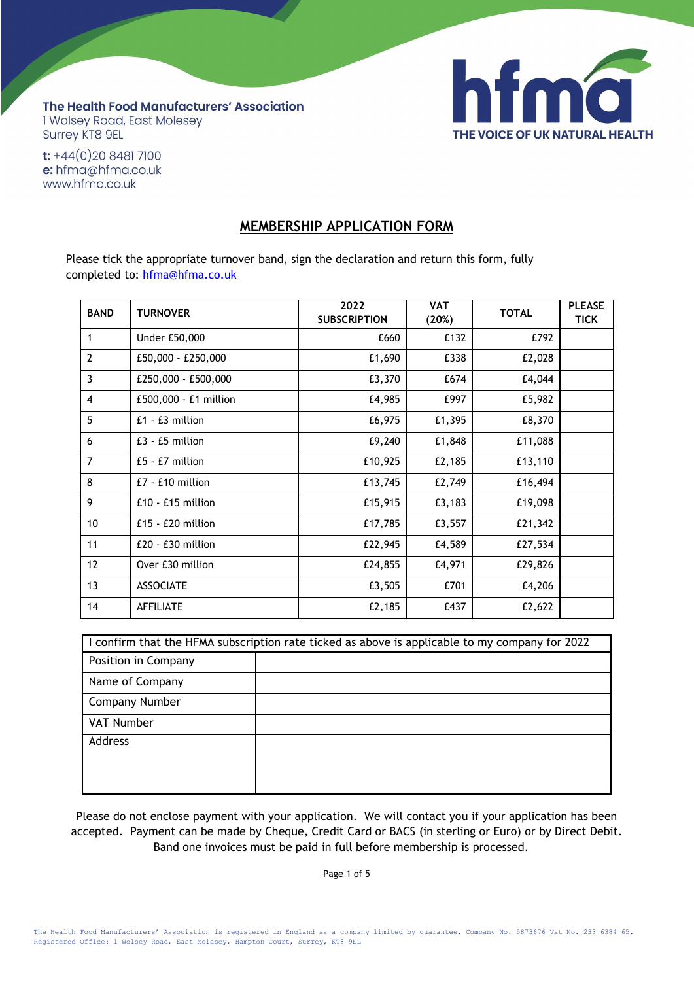

The Health Food Manufacturers' Association 1 Wolsey Road, East Molesey Surrey KT8 9EL

 $t$ : +44(0)20 8481 7100 e: hfma@hfma.co.uk www.hfma.co.uk

## **MEMBERSHIP APPLICATION FORM**

Please tick the appropriate turnover band, sign the declaration and return this form, fully completed [to: hfma@h](mailto:hfma@hfma.co.uk)fma.co.uk

| <b>BAND</b>    | <b>TURNOVER</b>       | 2022<br><b>SUBSCRIPTION</b> | <b>VAT</b><br>(20%) | <b>TOTAL</b> | <b>PLEASE</b><br><b>TICK</b> |
|----------------|-----------------------|-----------------------------|---------------------|--------------|------------------------------|
| 1              | Under £50,000         | £660                        | £132                | £792         |                              |
| $\overline{2}$ | £50,000 - £250,000    | £1,690                      | £338                | £2,028       |                              |
| 3              | £250,000 - £500,000   | £3,370                      | £674                | £4,044       |                              |
| $\overline{4}$ | £500,000 - £1 million | £4,985                      | £997                | £5,982       |                              |
| 5              | $£1 - £3$ million     | £6,975                      | £1,395              | £8,370       |                              |
| 6              | $E3 - E5$ million     | £9,240                      | £1,848              | £11,088      |                              |
| $\overline{7}$ | £5 - £7 million       | £10,925                     | £2,185              | £13,110      |                              |
| 8              | £7 - £10 million      | £13,745                     | £2,749              | £16,494      |                              |
| 9              | $£10 - £15$ million   | £15,915                     | £3,183              | £19,098      |                              |
| 10             | £15 - £20 million     | £17,785                     | £3,557              | £21,342      |                              |
| 11             | $E20 - E30$ million   | £22,945                     | £4,589              | £27,534      |                              |
| 12             | Over £30 million      | £24,855                     | £4,971              | £29,826      |                              |
| 13             | <b>ASSOCIATE</b>      | £3,505                      | £701                | £4,206       |                              |
| 14             | <b>AFFILIATE</b>      | £2,185                      | £437                | £2,622       |                              |

| I confirm that the HFMA subscription rate ticked as above is applicable to my company for 2022 |  |  |
|------------------------------------------------------------------------------------------------|--|--|
| Position in Company                                                                            |  |  |
| Name of Company                                                                                |  |  |
| Company Number                                                                                 |  |  |
| VAT Number                                                                                     |  |  |
| Address                                                                                        |  |  |
|                                                                                                |  |  |
|                                                                                                |  |  |

Please do not enclose payment with your application. We will contact you if your application has been accepted. Payment can be made by Cheque, Credit Card or BACS (in sterling or Euro) or by Direct Debit. Band one invoices must be paid in full before membership is processed.

Page 1 of 5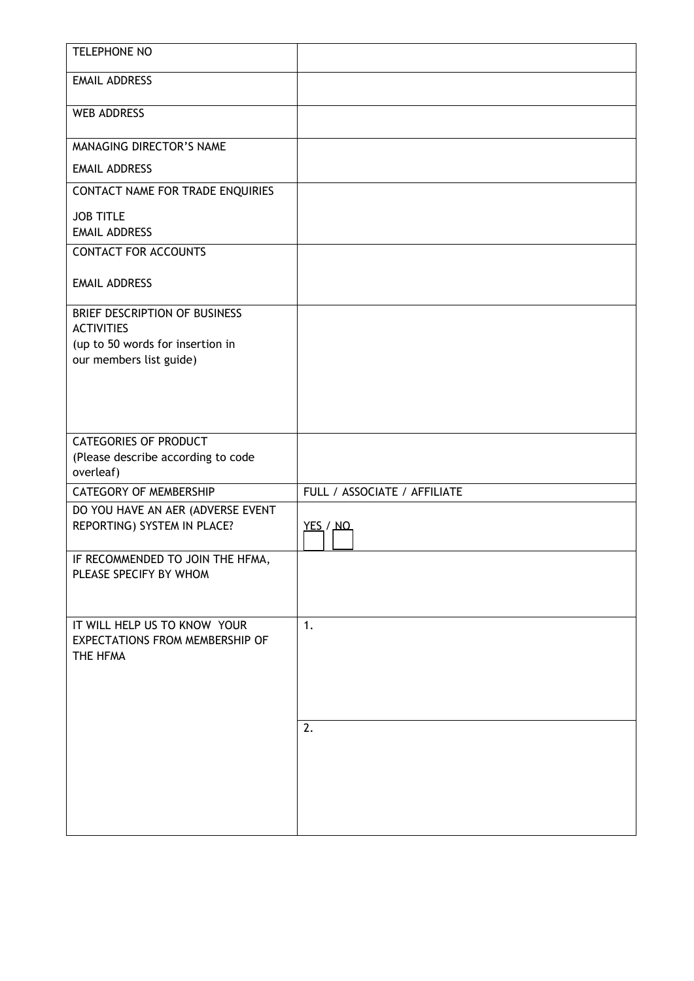| <b>TELEPHONE NO</b>                                                                                                                                                                          |                                    |
|----------------------------------------------------------------------------------------------------------------------------------------------------------------------------------------------|------------------------------------|
| <b>EMAIL ADDRESS</b>                                                                                                                                                                         |                                    |
| <b>WEB ADDRESS</b>                                                                                                                                                                           |                                    |
|                                                                                                                                                                                              |                                    |
| MANAGING DIRECTOR'S NAME<br><b>EMAIL ADDRESS</b>                                                                                                                                             |                                    |
|                                                                                                                                                                                              |                                    |
| CONTACT NAME FOR TRADE ENQUIRIES                                                                                                                                                             |                                    |
| <b>JOB TITLE</b><br><b>EMAIL ADDRESS</b>                                                                                                                                                     |                                    |
| <b>CONTACT FOR ACCOUNTS</b>                                                                                                                                                                  |                                    |
|                                                                                                                                                                                              |                                    |
| <b>EMAIL ADDRESS</b>                                                                                                                                                                         |                                    |
| BRIEF DESCRIPTION OF BUSINESS                                                                                                                                                                |                                    |
| <b>ACTIVITIES</b><br>(up to 50 words for insertion in                                                                                                                                        |                                    |
| our members list guide)                                                                                                                                                                      |                                    |
|                                                                                                                                                                                              |                                    |
|                                                                                                                                                                                              |                                    |
|                                                                                                                                                                                              |                                    |
| <b>CATEGORIES OF PRODUCT</b>                                                                                                                                                                 |                                    |
| (Please describe according to code                                                                                                                                                           |                                    |
|                                                                                                                                                                                              |                                    |
|                                                                                                                                                                                              |                                    |
| REPORTING) SYSTEM IN PLACE?                                                                                                                                                                  | <u>YES</u> / NO                    |
|                                                                                                                                                                                              |                                    |
|                                                                                                                                                                                              |                                    |
|                                                                                                                                                                                              |                                    |
|                                                                                                                                                                                              |                                    |
| IT WILL HELP US TO KNOW YOUR                                                                                                                                                                 | 1.                                 |
|                                                                                                                                                                                              |                                    |
|                                                                                                                                                                                              |                                    |
|                                                                                                                                                                                              |                                    |
|                                                                                                                                                                                              |                                    |
|                                                                                                                                                                                              |                                    |
|                                                                                                                                                                                              |                                    |
|                                                                                                                                                                                              |                                    |
|                                                                                                                                                                                              |                                    |
|                                                                                                                                                                                              |                                    |
| overleaf)<br><b>CATEGORY OF MEMBERSHIP</b><br>DO YOU HAVE AN AER (ADVERSE EVENT<br>IF RECOMMENDED TO JOIN THE HFMA,<br>PLEASE SPECIFY BY WHOM<br>EXPECTATIONS FROM MEMBERSHIP OF<br>THE HFMA | FULL / ASSOCIATE / AFFILIATE<br>2. |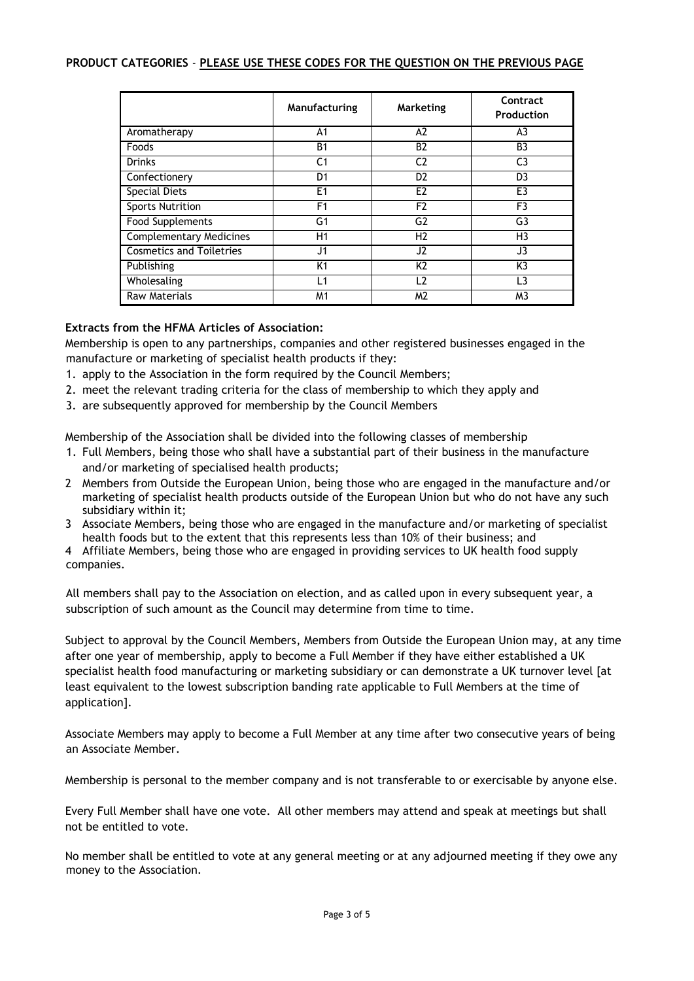## **PRODUCT CATEGORIES** - **PLEASE USE THESE CODES FOR THE QUESTION ON THE PREVIOUS PAGE**

|                                 | Manufacturing  | <b>Marketing</b> | Contract<br>Production |
|---------------------------------|----------------|------------------|------------------------|
| Aromatherapy                    | A <sub>1</sub> | A <sub>2</sub>   | A <sub>3</sub>         |
| Foods                           | <b>B1</b>      | <b>B2</b>        | B <sub>3</sub>         |
| <b>Drinks</b>                   | C <sub>1</sub> | C <sub>2</sub>   | C <sub>3</sub>         |
| Confectionery                   | D <sub>1</sub> | D <sub>2</sub>   | D <sub>3</sub>         |
| <b>Special Diets</b>            | E <sub>1</sub> | E <sub>2</sub>   | E3                     |
| <b>Sports Nutrition</b>         | F <sub>1</sub> | F <sub>2</sub>   | F <sub>3</sub>         |
| <b>Food Supplements</b>         | G <sub>1</sub> | G <sub>2</sub>   | G3                     |
| <b>Complementary Medicines</b>  | H1             | H <sub>2</sub>   | H3                     |
| <b>Cosmetics and Toiletries</b> | J <sub>1</sub> | J2               | J3                     |
| Publishing                      | K1             | K <sub>2</sub>   | K3                     |
| Wholesaling                     | L1             | L2               | L3                     |
| <b>Raw Materials</b>            | M1             | M <sub>2</sub>   | M3                     |

## **Extracts from the HFMA Articles of Association:**

Membership is open to any partnerships, companies and other registered businesses engaged in the manufacture or marketing of specialist health products if they:

- 1. apply to the Association in the form required by the Council Members;
- 2. meet the relevant trading criteria for the class of membership to which they apply and
- 3. are subsequently approved for membership by the Council Members

Membership of the Association shall be divided into the following classes of membership

- 1. Full Members, being those who shall have a substantial part of their business in the manufacture and/or marketing of specialised health products;
- 2 Members from Outside the European Union, being those who are engaged in the manufacture and/or marketing of specialist health products outside of the European Union but who do not have any such subsidiary within it;
- 3 Associate Members, being those who are engaged in the manufacture and/or marketing of specialist health foods but to the extent that this represents less than 10% of their business; and

4 Affiliate Members, being those who are engaged in providing services to UK health food supply companies.

All members shall pay to the Association on election, and as called upon in every subsequent year, a subscription of such amount as the Council may determine from time to time.

Subject to approval by the Council Members, Members from Outside the European Union may, at any time after one year of membership, apply to become a Full Member if they have either established a UK specialist health food manufacturing or marketing subsidiary or can demonstrate a UK turnover level [at least equivalent to the lowest subscription banding rate applicable to Full Members at the time of application].

Associate Members may apply to become a Full Member at any time after two consecutive years of being an Associate Member.

Membership is personal to the member company and is not transferable to or exercisable by anyone else.

Every Full Member shall have one vote. All other members may attend and speak at meetings but shall not be entitled to vote.

No member shall be entitled to vote at any general meeting or at any adjourned meeting if they owe any money to the Association.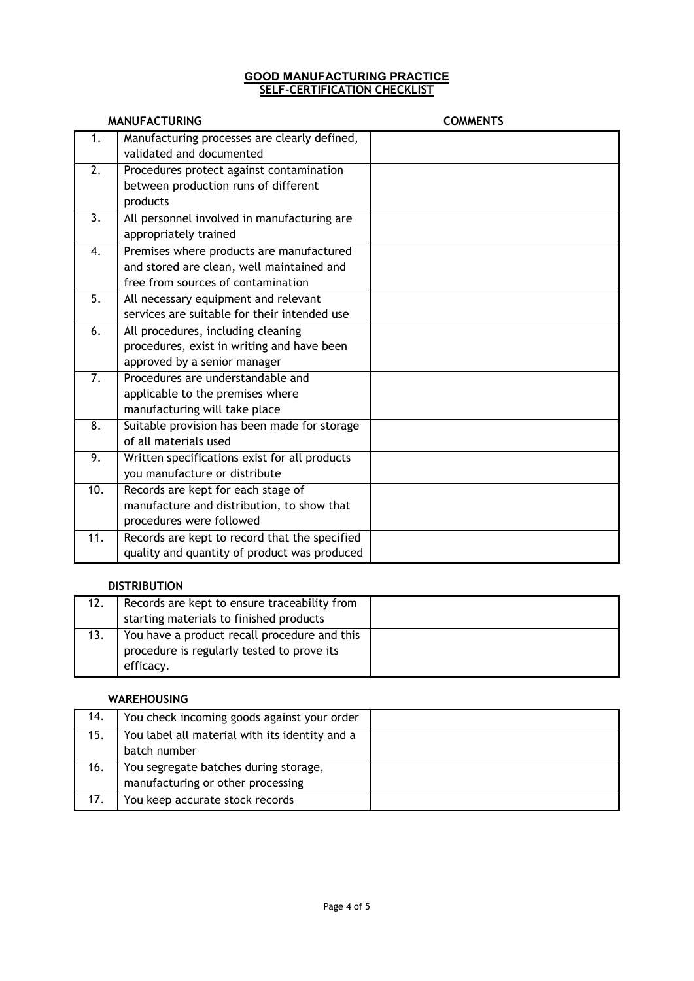### **GOOD MANUFACTURING PRACTICE SELF-CERTIFICATION CHECKLIST**

|                   | <b>MANUFACTURING</b>                          | <b>COMMENTS</b> |
|-------------------|-----------------------------------------------|-----------------|
| 1.                | Manufacturing processes are clearly defined,  |                 |
|                   | validated and documented                      |                 |
| 2.                | Procedures protect against contamination      |                 |
|                   | between production runs of different          |                 |
|                   | products                                      |                 |
| 3.                | All personnel involved in manufacturing are   |                 |
|                   | appropriately trained                         |                 |
| 4.                | Premises where products are manufactured      |                 |
|                   | and stored are clean, well maintained and     |                 |
|                   | free from sources of contamination            |                 |
| $\overline{5}$ .  | All necessary equipment and relevant          |                 |
|                   | services are suitable for their intended use  |                 |
| 6.                | All procedures, including cleaning            |                 |
|                   | procedures, exist in writing and have been    |                 |
|                   | approved by a senior manager                  |                 |
| 7.                | Procedures are understandable and             |                 |
|                   | applicable to the premises where              |                 |
|                   | manufacturing will take place                 |                 |
| $\overline{8}$ .  | Suitable provision has been made for storage  |                 |
|                   | of all materials used                         |                 |
| 9.                | Written specifications exist for all products |                 |
|                   | you manufacture or distribute                 |                 |
| 10.               | Records are kept for each stage of            |                 |
|                   | manufacture and distribution, to show that    |                 |
|                   | procedures were followed                      |                 |
| $\overline{11}$ . | Records are kept to record that the specified |                 |
|                   | quality and quantity of product was produced  |                 |

## **DISTRIBUTION**

| 12. | Records are kept to ensure traceability from |  |
|-----|----------------------------------------------|--|
|     | starting materials to finished products      |  |
| 13. | You have a product recall procedure and this |  |
|     | procedure is regularly tested to prove its   |  |
|     | efficacy.                                    |  |

## **WAREHOUSING**

| 14. | You check incoming goods against your order    |  |
|-----|------------------------------------------------|--|
| 15. | You label all material with its identity and a |  |
|     | batch number                                   |  |
| 16. | You segregate batches during storage,          |  |
|     | manufacturing or other processing              |  |
| 17. | You keep accurate stock records                |  |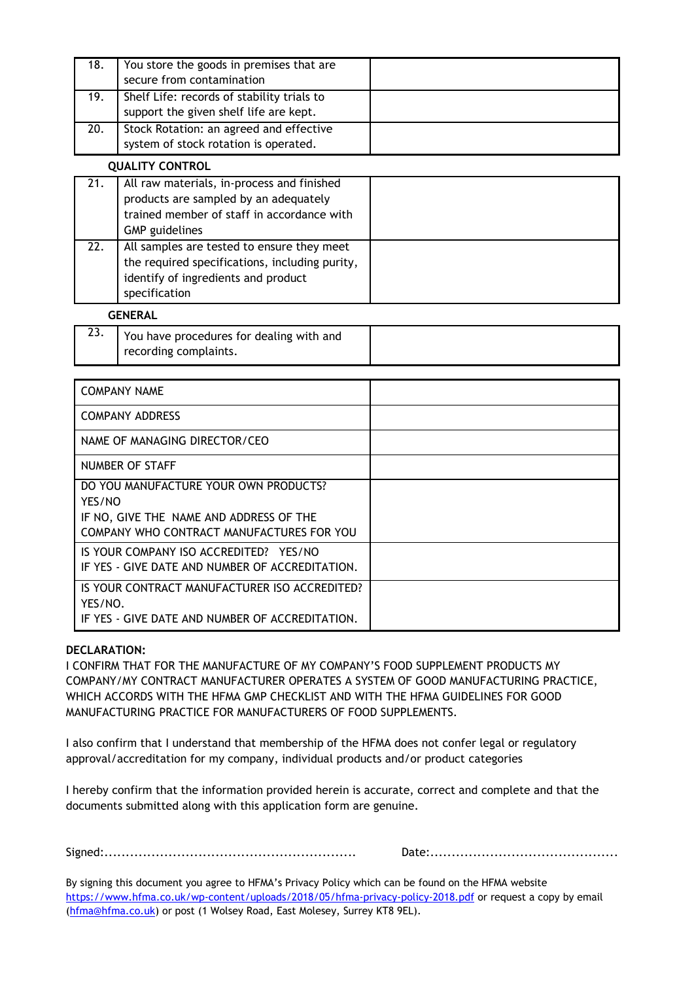| 18. | You store the goods in premises that are<br>secure from contamination                |  |
|-----|--------------------------------------------------------------------------------------|--|
| 19. | Shelf Life: records of stability trials to<br>support the given shelf life are kept. |  |
| 20. | Stock Rotation: an agreed and effective<br>system of stock rotation is operated.     |  |

#### **QUALITY CONTROL**

| 21. | All raw materials, in-process and finished<br>products are sampled by an adequately<br>trained member of staff in accordance with<br><b>GMP</b> guidelines |  |
|-----|------------------------------------------------------------------------------------------------------------------------------------------------------------|--|
| 22. | All samples are tested to ensure they meet<br>the required specifications, including purity,<br>identify of ingredients and product<br>specification       |  |

## **GENERAL**

| LJ. | You have procedures for dealing with and |  |
|-----|------------------------------------------|--|
|     | recording complaints.                    |  |

| <b>COMPANY NAME</b>                                                                                                                     |  |
|-----------------------------------------------------------------------------------------------------------------------------------------|--|
| <b>COMPANY ADDRESS</b>                                                                                                                  |  |
| NAME OF MANAGING DIRECTOR/CEO                                                                                                           |  |
| NUMBER OF STAFF                                                                                                                         |  |
| DO YOU MANUFACTURE YOUR OWN PRODUCTS?<br>YES/NO<br>IF NO, GIVE THE NAME AND ADDRESS OF THE<br>COMPANY WHO CONTRACT MANUFACTURES FOR YOU |  |
| IS YOUR COMPANY ISO ACCREDITED? YES/NO<br>IF YES - GIVE DATE AND NUMBER OF ACCREDITATION.                                               |  |
| IS YOUR CONTRACT MANUFACTURER ISO ACCREDITED?<br>YES/NO.<br>IF YES - GIVE DATE AND NUMBER OF ACCREDITATION.                             |  |

## **DECLARATION:**

I CONFIRM THAT FOR THE MANUFACTURE OF MY COMPANY'S FOOD SUPPLEMENT PRODUCTS MY COMPANY/MY CONTRACT MANUFACTURER OPERATES A SYSTEM OF GOOD MANUFACTURING PRACTICE, WHICH ACCORDS WITH THE HFMA GMP CHECKLIST AND WITH THE HFMA GUIDELINES FOR GOOD MANUFACTURING PRACTICE FOR MANUFACTURERS OF FOOD SUPPLEMENTS.

I also confirm that I understand that membership of the HFMA does not confer legal or regulatory approval/accreditation for my company, individual products and/or product categories

I hereby confirm that the information provided herein is accurate, correct and complete and that the documents submitted along with this application form are genuine.

Signed:........................................................... Date:............................................

By signing this document you agree to HFMA's Privacy Policy which can be found on the HFMA website <https://www.hfma.co.uk/wp-content/uploads/2018/05/hfma-privacy-policy-2018.pdf> or request a copy by email [\(hfma@hfma.co.uk\)](mailto:hfma@hfma.co.uk) or post (1 Wolsey Road, East Molesey, Surrey KT8 9EL).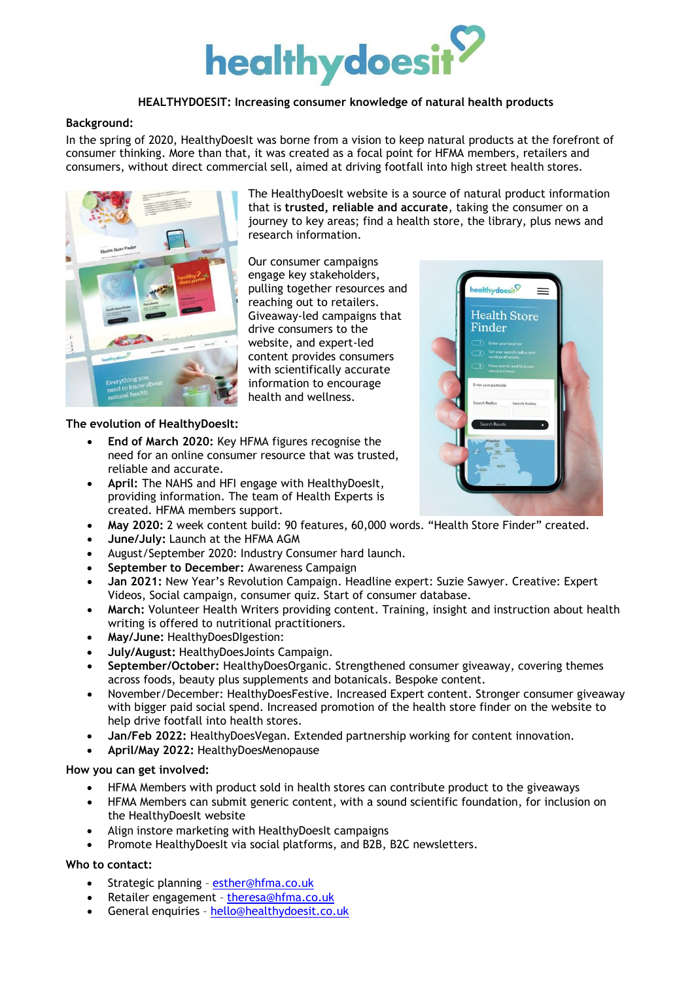

## **HEALTHYDOESIT: Increasing consumer knowledge of natural health products**

#### **Background:**

In the spring of 2020, HealthyDoesIt was borne from a vision to keep natural products at the forefront of consumer thinking. More than that, it was created as a focal point for HFMA members, retailers and consumers, without direct commercial sell, aimed at driving footfall into high street health stores.



The HealthyDoesIt website is a source of natural product information that is **trusted, reliable and accurate**, taking the consumer on a journey to key areas; find a health store, the library, plus news and research information.

Our consumer campaigns engage key stakeholders, pulling together resources and reaching out to retailers. Giveaway-led campaigns that drive consumers to the website, and expert-led content provides consumers with scientifically accurate information to encourage health and wellness.

### **The evolution of HealthyDoesIt:**

- **End of March 2020:** Key HFMA figures recognise the need for an online consumer resource that was trusted, reliable and accurate.
- **April:** The NAHS and HFI engage with HealthyDoesIt, providing information. The team of Health Experts is created. HFMA members support.
- **May 2020:** 2 week content build: 90 features, 60,000 words. "Health Store Finder" created.
- **June/July:** Launch at the HFMA AGM
- August/September 2020: Industry Consumer hard launch.
- **September to December:** Awareness Campaign
- **Jan 2021:** New Year's Revolution Campaign. Headline expert: Suzie Sawyer. Creative: Expert Videos, Social campaign, consumer quiz. Start of consumer database.
- **March:** Volunteer Health Writers providing content. Training, insight and instruction about health writing is offered to nutritional practitioners.
- **May/June:** HealthyDoesDIgestion:
- **July/August:** HealthyDoesJoints Campaign.
- **September/October:** HealthyDoesOrganic. Strengthened consumer giveaway, covering themes across foods, beauty plus supplements and botanicals. Bespoke content.
- November/December: HealthyDoesFestive. Increased Expert content. Stronger consumer giveaway with bigger paid social spend. Increased promotion of the health store finder on the website to help drive footfall into health stores.
- **Jan/Feb 2022:** HealthyDoesVegan. Extended partnership working for content innovation.
- **April/May 2022:** HealthyDoesMenopause

#### **How you can get involved:**

- HFMA Members with product sold in health stores can contribute product to the giveaways
- HFMA Members can submit generic content, with a sound scientific foundation, for inclusion on the HealthyDoesIt website
- Align instore marketing with HealthyDoesIt campaigns
- Promote HealthyDoesIt via social platforms, and B2B, B2C newsletters.

#### **Who to contact:**

- Strategic planning [esther@hfma.co.uk](mailto:esther@hfma.co.uk)
- Retailer engagement [theresa@hfma.co.uk](mailto:theresa@hfma.co.uk)
- General enquiries [hello@healthydoesit.co.uk](mailto:hello@healthydoesit.co.uk)